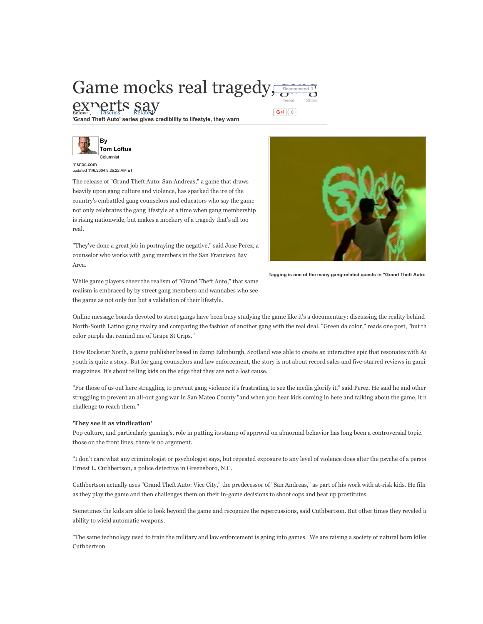## Game mocks real tragedy, experts say **Below:** Discuss Related [Tweet](https://twitter.com/intent/tweet?original_referer=http%3A%2F%2Fwww.nbcnews.com%2Fid%2F6409148%2F&ref_src=twsrc%5Etfw&related=todayshow%2Cbreakingnews&text=%3A&tw_p=tweetbutton&url=http%3A%2F%2Fwww.nbcnews.com%2Fid%2F6409148%2Fns%2Ftechnology_and_science-games%2Ft%2Fgame-mocks-real-tragedy-gang-experts-say%2F%23.WMK1hNJjPfA.twitter&via=msnbc)  $GH$  0 Share **Recommend** 0

**'Grand Theft Auto' series gives credibility to lifestyle, they warn**



msnbc.com updated 11/6/2004 9:25:22 AM ET

The release of "Grand Theft Auto: San Andreas," a game that draws heavily upon gang culture and violence, has sparked the ire of the country's embattled gang counselors and educators who say the game not only celebrates the gang lifestyle at a time when gang membership is rising nationwide, but makes a mockery of a tragedy that's all too real.

"They've done a great job in portraying the negative," said Jose Perez, a counselor who works with gang members in the San Francisco Bay Area.



Tagging is one of the many gang-related quests in "Grand Theft Auto:

While game players cheer the realism of "Grand Theft Auto," that same realism is embraced by by street gang members and wannabes who see the game as not only fun but a validation of their lifestyle.

Online message boards devoted to street gangs have been busy studying the game like it's a documentary: discussing the reality behind North-South Latino gang rivalry and comparing the fashion of another gang with the real deal. "Green da color," reads one post, "but th color purple dat remind me of Grape St Crips."

How Rockstar North, a game publisher based in damp Edinburgh, Scotland was able to create an interactive epic that resonates with An youth is quite a story. But for gang counselors and law enforcement, the story is not about record sales and five-starred reviews in gaming magazines. It's about telling kids on the edge that they are not a lost cause.

"For those of us out here struggling to prevent gang violence it's frustrating to see the media glorify it," said Perez. He said he and other struggling to prevent an all-out gang war in San Mateo County "and when you hear kids coming in here and talking about the game, it n challenge to reach them."

## **'They see it as vindication'**

Pop culture, and particularly gaming's, role in putting its stamp of approval on abnormal behavior has long been a controversial topic. those on the front lines, there is no argument.

"I don't care what any criminologist or psychologist says, but repeated exposure to any level of violence does alter the psyche of a person Ernest L. Cuthbertson, a police detective in Greensboro, N.C.

Cuthbertson actually uses "Grand Theft Auto: Vice City," the predecessor of "San Andreas," as part of his work with at-risk kids. He film as they play the game and then challenges them on their in-game decisions to shoot cops and beat up prostitutes.

Sometimes the kids are able to look beyond the game and recognize the repercussions, said Cuthbertson. But other times they reveled in ability to wield automatic weapons.

"The same technology used to train the military and law enforcement is going into games. We are raising a society of natural born killer Cuthbertson.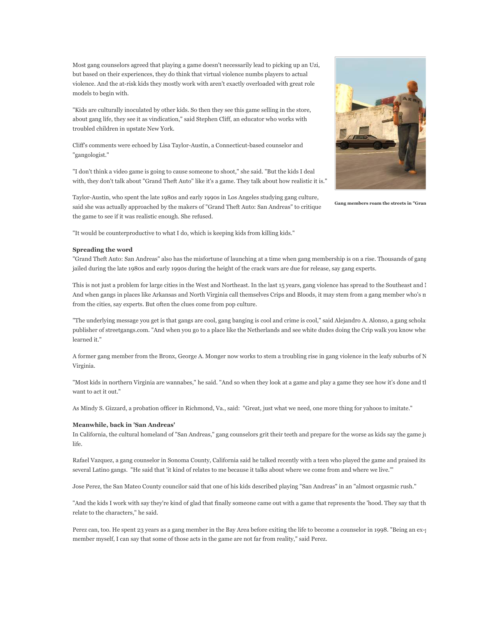Most gang counselors agreed that playing a game doesn't necessarily lead to picking up an Uzi, but based on their experiences, they do think that virtual violence numbs players to actual violence. And the at-risk kids they mostly work with aren't exactly overloaded with great role models to begin with.

"Kids are culturally inoculated by other kids. So then they see this game selling in the store, about gang life, they see it as vindication," said Stephen Cliff, an educator who works with troubled children in upstate New York.

Cliff's comments were echoed by Lisa Taylor-Austin, a Connecticut-based counselor and "gangologist."

"I don't think a video game is going to cause someone to shoot," she said. "But the kids I deal with, they don't talk about "Grand Theft Auto" like it's a game. They talk about how realistic it is."

Taylor-Austin, who spent the late 1980s and early 1990s in Los Angeles studying gang culture, said she was actually approached by the makers of "Grand Theft Auto: San Andreas" to critique the game to see if it was realistic enough. She refused.

"It would be counterproductive to what I do, which is keeping kids from killing kids."

## **Spreading the word**

"Grand Theft Auto: San Andreas" also has the misfortune of launching at a time when gang membership is on a rise. Thousands of gang members jailed during the late 1980s and early 1990s during the height of the crack wars are due for release, say gang experts.

This is not just a problem for large cities in the West and Northeast. In the last 15 years, gang violence has spread to the Southeast and I And when gangs in places like Arkansas and North Virginia call themselves Crips and Bloods, it may stem from a gang member who's n from the cities, say experts. But often the clues come from pop culture.

"The underlying message you get is that gangs are cool, gang banging is cool and crime is cool," said Alejandro A. Alonso, a gang scholar publisher of streetgangs.com. "And when you go to a place like the Netherlands and see white dudes doing the Crip walk you know whe learned it."

A former gang member from the Bronx, George A. Monger now works to stem a troubling rise in gang violence in the leafy suburbs of N Virginia.

"Most kids in northern Virginia are wannabes," he said. "And so when they look at a game and play a game they see how it's done and they want to act it out."

As Mindy S. Gizzard, a probation officer in Richmond, Va., said: "Great, just what we need, one more thing for yahoos to imitate."

## **Meanwhile, back in 'San Andreas'**

In California, the cultural homeland of "San Andreas," gang counselors grit their teeth and prepare for the worse as kids say the game ju life.

Rafael Vazquez, a gang counselor in Sonoma County, California said he talked recently with a teen who played the game and praised its several Latino gangs. "He said that 'it kind of relates to me because it talks about where we come from and where we live.'"

Jose Perez, the San Mateo County councilor said that one of his kids described playing "San Andreas" in an "almost orgasmic rush."

"And the kids I work with say they're kind of glad that finally someone came out with a game that represents the 'hood. They say that th relate to the characters," he said.

Perez can, too. He spent 23 years as a gang member in the Bay Area before exiting the life to become a counselor in 1998. "Being an ex-g member myself, I can say that some of those acts in the game are not far from reality," said Perez.



**Gang members roam the streets in "Gran**